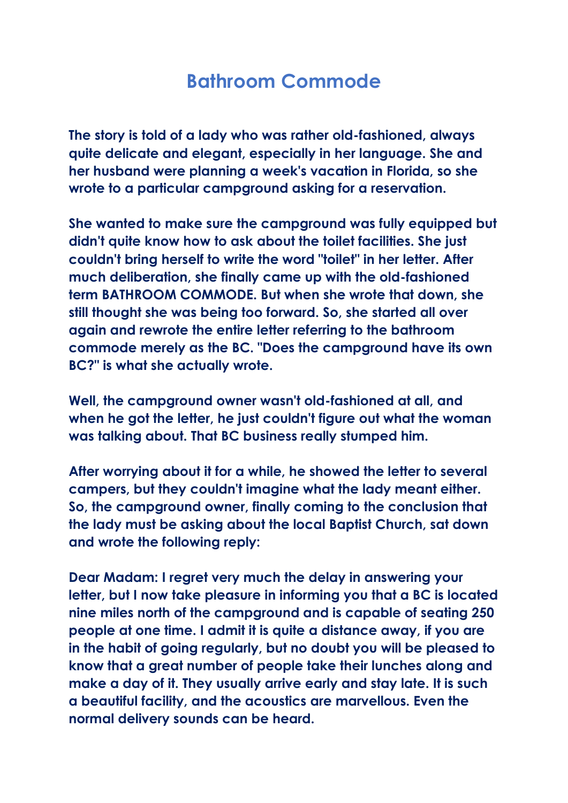## **Bathroom Commode**

**The story is told of a lady who was rather old-fashioned, always quite delicate and elegant, especially in her language. She and her husband were planning a week's vacation in Florida, so she wrote to a particular campground asking for a reservation.**

**She wanted to make sure the campground was fully equipped but didn't quite know how to ask about the toilet facilities. She just couldn't bring herself to write the word "toilet" in her letter. After much deliberation, she finally came up with the old-fashioned term BATHROOM COMMODE. But when she wrote that down, she still thought she was being too forward. So, she started all over again and rewrote the entire letter referring to the bathroom commode merely as the BC. "Does the campground have its own BC?" is what she actually wrote.**

**Well, the campground owner wasn't old-fashioned at all, and when he got the letter, he just couldn't figure out what the woman was talking about. That BC business really stumped him.**

**After worrying about it for a while, he showed the letter to several campers, but they couldn't imagine what the lady meant either. So, the campground owner, finally coming to the conclusion that the lady must be asking about the local Baptist Church, sat down and wrote the following reply:**

**Dear Madam: I regret very much the delay in answering your letter, but I now take pleasure in informing you that a BC is located nine miles north of the campground and is capable of seating 250 people at one time. I admit it is quite a distance away, if you are in the habit of going regularly, but no doubt you will be pleased to know that a great number of people take their lunches along and make a day of it. They usually arrive early and stay late. It is such a beautiful facility, and the acoustics are marvellous. Even the normal delivery sounds can be heard.**